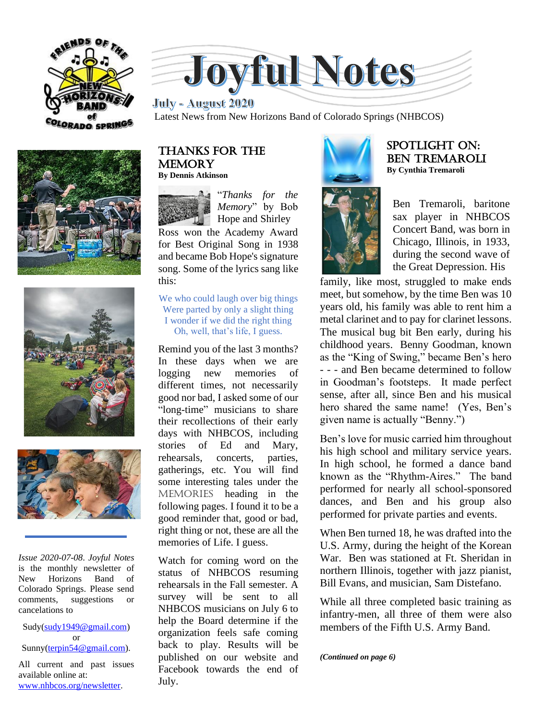







*Issue 2020-07-08*. *Joyful Notes*  is the monthly newsletter of<br>New Horizons Band of New Horizons Band of Colorado Springs. Please send comments, suggestions or cancelations to

Sudy[\(sudy1949@gmail.com\)](mailto:sudy1949@gmail.com) or Sunny[\(terpin54@gmail.com\)](mailto:terpin54@gmail.com).

All current and past issues available online at: [www.nhbcos.org/newsletter.](http://www.nhbcos.org/newsletter)



*<u>July - August 2020</u>* Latest News from New Horizons Band of Colorado Springs (NHBCOS)

### Thanks for the **MEMORY By Dennis Atkinson**

"*Thanks for the Memory*" by Bob Hope and Shirley

Ross won the Academy Award for Best Original Song in 1938 and became Bob Hope's signature song. Some of the lyrics sang like this:

### We who could laugh over big things Were parted by only a slight thing I wonder if we did the right thing Oh, well, that's life, I guess.

Remind you of the last 3 months? In these days when we are logging new memories of different times, not necessarily good nor bad, I asked some of our "long-time" musicians to share their recollections of their early days with NHBCOS, including stories of Ed and Mary, rehearsals, concerts, parties, gatherings, etc. You will find some interesting tales under the MEMORIES heading in the following pages. I found it to be a good reminder that, good or bad, right thing or not, these are all the memories of Life. I guess.

Watch for coming word on the status of NHBCOS resuming rehearsals in the Fall semester. A survey will be sent to all NHBCOS musicians on July 6 to help the Board determine if the organization feels safe coming back to play. Results will be published on our website and Facebook towards the end of July.



### SPOTLIGHT on: ben tremaroli **By Cynthia Tremaroli**



Ben Tremaroli, baritone sax player in NHBCOS Concert Band, was born in Chicago, Illinois, in 1933, during the second wave of the Great Depression. His

family, like most, struggled to make ends meet, but somehow, by the time Ben was 10 years old, his family was able to rent him a metal clarinet and to pay for clarinet lessons. The musical bug bit Ben early, during his childhood years. Benny Goodman, known as the "King of Swing," became Ben's hero - - - and Ben became determined to follow in Goodman's footsteps. It made perfect sense, after all, since Ben and his musical hero shared the same name! (Yes, Ben's given name is actually "Benny.")

Ben's love for music carried him throughout his high school and military service years. In high school, he formed a dance band known as the "Rhythm-Aires." The band performed for nearly all school-sponsored dances, and Ben and his group also performed for private parties and events.

When Ben turned 18, he was drafted into the U.S. Army, during the height of the Korean War. Ben was stationed at Ft. Sheridan in northern Illinois, together with jazz pianist, Bill Evans, and musician, Sam Distefano.

While all three completed basic training as infantry-men, all three of them were also members of the Fifth U.S. Army Band.

*(Continued on page 6)*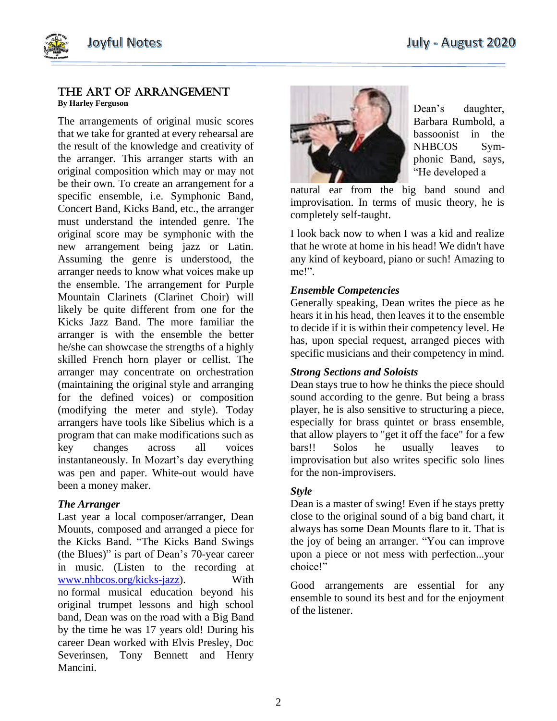## The art of arrangement

**By Harley Ferguson**

The arrangements of original music scores that we take for granted at every rehearsal are the result of the knowledge and creativity of the arranger. This arranger starts with an original composition which may or may not be their own. To create an arrangement for a specific ensemble, i.e. Symphonic Band, Concert Band, Kicks Band, etc., the arranger must understand the intended genre. The original score may be symphonic with the new arrangement being jazz or Latin. Assuming the genre is understood, the arranger needs to know what voices make up the ensemble. The arrangement for Purple Mountain Clarinets (Clarinet Choir) will likely be quite different from one for the Kicks Jazz Band. The more familiar the arranger is with the ensemble the better he/she can showcase the strengths of a highly skilled French horn player or cellist. The arranger may concentrate on orchestration (maintaining the original style and arranging for the defined voices) or composition (modifying the meter and style). Today arrangers have tools like Sibelius which is a program that can make modifications such as key changes across all voices instantaneously. In Mozart's day everything was pen and paper. White-out would have been a money maker.

### *The Arranger*

Last year a local composer/arranger, Dean Mounts, composed and arranged a piece for the Kicks Band. "The Kicks Band Swings (the Blues)" is part of Dean's 70-year career in music. (Listen to the recording at [www.nhbcos.org/kicks-jazz\)](http://www.nhbcos.org/kicks-jazz). With no formal musical education beyond his original trumpet lessons and high school band, Dean was on the road with a Big Band by the time he was 17 years old! During his career Dean worked with Elvis Presley, Doc Severinsen, Tony Bennett and Henry Mancini.



Dean's daughter, Barbara Rumbold, a bassoonist in the NHBCOS Symphonic Band, says, "He developed a

natural ear from the big band sound and improvisation. In terms of music theory, he is completely self-taught.

I look back now to when I was a kid and realize that he wrote at home in his head! We didn't have any kind of keyboard, piano or such! Amazing to me!".

### *Ensemble Competencies*

Generally speaking, Dean writes the piece as he hears it in his head, then leaves it to the ensemble to decide if it is within their competency level. He has, upon special request, arranged pieces with specific musicians and their competency in mind.

### *Strong Sections and Soloists*

Dean stays true to how he thinks the piece should sound according to the genre. But being a brass player, he is also sensitive to structuring a piece, especially for brass quintet or brass ensemble, that allow players to "get it off the face" for a few bars!! Solos he usually leaves to improvisation but also writes specific solo lines for the non-improvisers.

### *Style*

Dean is a master of swing! Even if he stays pretty close to the original sound of a big band chart, it always has some Dean Mounts flare to it. That is the joy of being an arranger. "You can improve upon a piece or not mess with perfection...your choice!"

Good arrangements are essential for any ensemble to sound its best and for the enjoyment of the listener.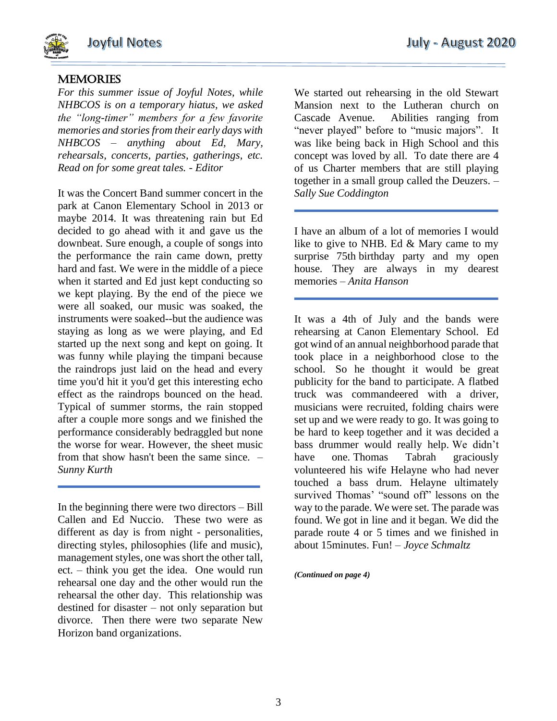

# **MEMORIES**

*For this summer issue of Joyful Notes, while NHBCOS is on a temporary hiatus, we asked the "long-timer" members for a few favorite memories and stories from their early days with NHBCOS – anything about Ed, Mary, rehearsals, concerts, parties, gatherings, etc. Read on for some great tales. - Editor*

It was the Concert Band summer concert in the park at Canon Elementary School in 2013 or maybe 2014. It was threatening rain but Ed decided to go ahead with it and gave us the downbeat. Sure enough, a couple of songs into the performance the rain came down, pretty hard and fast. We were in the middle of a piece when it started and Ed just kept conducting so we kept playing. By the end of the piece we were all soaked, our music was soaked, the instruments were soaked--but the audience was staying as long as we were playing, and Ed started up the next song and kept on going. It was funny while playing the timpani because the raindrops just laid on the head and every time you'd hit it you'd get this interesting echo effect as the raindrops bounced on the head. Typical of summer storms, the rain stopped after a couple more songs and we finished the performance considerably bedraggled but none the worse for wear. However, the sheet music from that show hasn't been the same since. – *Sunny Kurth*

In the beginning there were two directors – Bill Callen and Ed Nuccio. These two were as different as day is from night - personalities, directing styles, philosophies (life and music), management styles, one was short the other tall, ect. – think you get the idea. One would run rehearsal one day and the other would run the rehearsal the other day. This relationship was destined for disaster – not only separation but divorce. Then there were two separate New Horizon band organizations.

We started out rehearsing in the old Stewart Mansion next to the Lutheran church on Cascade Avenue. Abilities ranging from "never played" before to "music majors". It was like being back in High School and this concept was loved by all. To date there are 4 of us Charter members that are still playing together in a small group called the Deuzers. – *Sally Sue Coddington*

I have an album of a lot of memories I would like to give to NHB. Ed & Mary came to my surprise 75th birthday party and my open house. They are always in my dearest memories – *Anita Hanson*

It was a 4th of July and the bands were rehearsing at Canon Elementary School. Ed got wind of an annual neighborhood parade that took place in a neighborhood close to the school. So he thought it would be great publicity for the band to participate. A flatbed truck was commandeered with a driver, musicians were recruited, folding chairs were set up and we were ready to go. It was going to be hard to keep together and it was decided a bass drummer would really help. We didn't have one. Thomas Tabrah graciously volunteered his wife Helayne who had never touched a bass drum. Helayne ultimately survived Thomas' "sound off" lessons on the way to the parade. We were set. The parade was found. We got in line and it began. We did the parade route 4 or 5 times and we finished in about 15minutes. Fun! – *Joyce Schmaltz*

*(Continued on page 4)*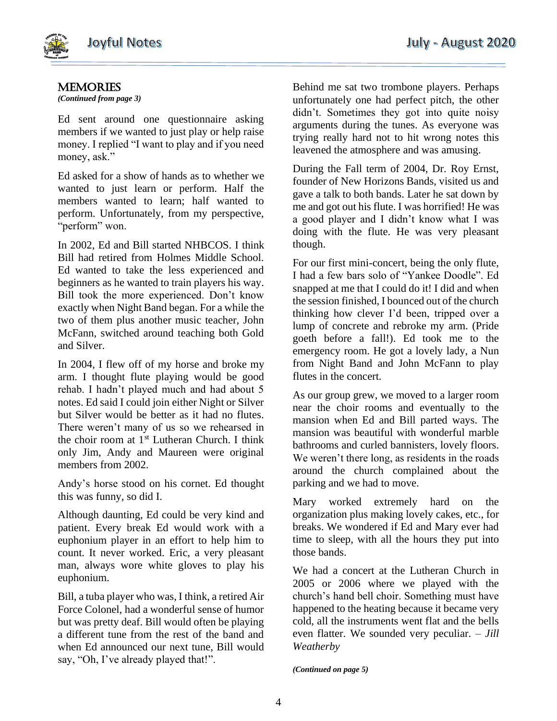

# **MEMORIES**

*(Continued from page 3)*

Ed sent around one questionnaire asking members if we wanted to just play or help raise money. I replied "I want to play and if you need money, ask."

Ed asked for a show of hands as to whether we wanted to just learn or perform. Half the members wanted to learn; half wanted to perform. Unfortunately, from my perspective, "perform" won.

In 2002, Ed and Bill started NHBCOS. I think Bill had retired from Holmes Middle School. Ed wanted to take the less experienced and beginners as he wanted to train players his way. Bill took the more experienced. Don't know exactly when Night Band began. For a while the two of them plus another music teacher, John McFann, switched around teaching both Gold and Silver.

In 2004, I flew off of my horse and broke my arm. I thought flute playing would be good rehab. I hadn't played much and had about 5 notes. Ed said I could join either Night or Silver but Silver would be better as it had no flutes. There weren't many of us so we rehearsed in the choir room at 1<sup>st</sup> Lutheran Church. I think only Jim, Andy and Maureen were original members from 2002.

Andy's horse stood on his cornet. Ed thought this was funny, so did I.

Although daunting, Ed could be very kind and patient. Every break Ed would work with a euphonium player in an effort to help him to count. It never worked. Eric, a very pleasant man, always wore white gloves to play his euphonium.

Bill, a tuba player who was, I think, a retired Air Force Colonel, had a wonderful sense of humor but was pretty deaf. Bill would often be playing a different tune from the rest of the band and when Ed announced our next tune, Bill would say, "Oh, I've already played that!".

Behind me sat two trombone players. Perhaps unfortunately one had perfect pitch, the other didn't. Sometimes they got into quite noisy arguments during the tunes. As everyone was trying really hard not to hit wrong notes this leavened the atmosphere and was amusing.

During the Fall term of 2004, Dr. Roy Ernst, founder of New Horizons Bands, visited us and gave a talk to both bands. Later he sat down by me and got out his flute. I was horrified! He was a good player and I didn't know what I was doing with the flute. He was very pleasant though.

For our first mini-concert, being the only flute, I had a few bars solo of "Yankee Doodle". Ed snapped at me that I could do it! I did and when the session finished, I bounced out of the church thinking how clever I'd been, tripped over a lump of concrete and rebroke my arm. (Pride goeth before a fall!). Ed took me to the emergency room. He got a lovely lady, a Nun from Night Band and John McFann to play flutes in the concert.

As our group grew, we moved to a larger room near the choir rooms and eventually to the mansion when Ed and Bill parted ways. The mansion was beautiful with wonderful marble bathrooms and curled bannisters, lovely floors. We weren't there long, as residents in the roads around the church complained about the parking and we had to move.

Mary worked extremely hard on the organization plus making lovely cakes, etc., for breaks. We wondered if Ed and Mary ever had time to sleep, with all the hours they put into those bands.

We had a concert at the Lutheran Church in 2005 or 2006 where we played with the church's hand bell choir. Something must have happened to the heating because it became very cold, all the instruments went flat and the bells even flatter. We sounded very peculiar. – *Jill Weatherby*

*(Continued on page 5)*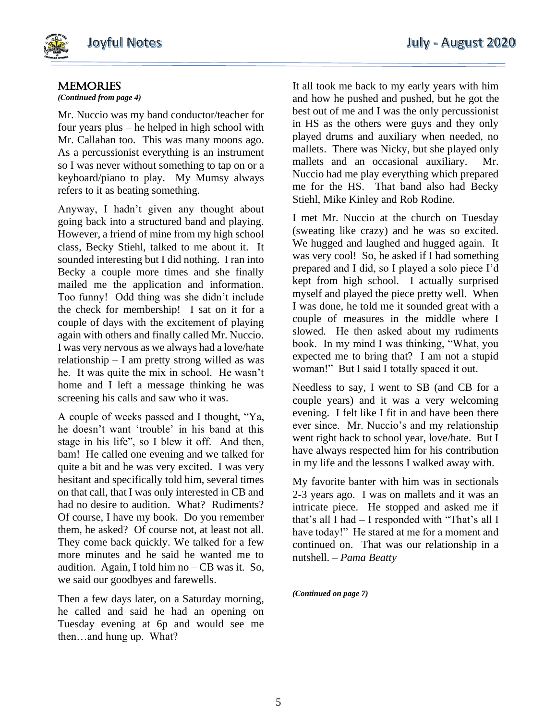

## **MEMORIES**

### *(Continued from page 4)*

Mr. Nuccio was my band conductor/teacher for four years plus – he helped in high school with Mr. Callahan too. This was many moons ago. As a percussionist everything is an instrument so I was never without something to tap on or a keyboard/piano to play. My Mumsy always refers to it as beating something.

Anyway, I hadn't given any thought about going back into a structured band and playing. However, a friend of mine from my high school class, Becky Stiehl, talked to me about it. It sounded interesting but I did nothing. I ran into Becky a couple more times and she finally mailed me the application and information. Too funny! Odd thing was she didn't include the check for membership! I sat on it for a couple of days with the excitement of playing again with others and finally called Mr. Nuccio. I was very nervous as we always had a love/hate relationship – I am pretty strong willed as was he. It was quite the mix in school. He wasn't home and I left a message thinking he was screening his calls and saw who it was.

A couple of weeks passed and I thought, "Ya, he doesn't want 'trouble' in his band at this stage in his life", so I blew it off. And then, bam! He called one evening and we talked for quite a bit and he was very excited. I was very hesitant and specifically told him, several times on that call, that I was only interested in CB and had no desire to audition. What? Rudiments? Of course, I have my book. Do you remember them, he asked? Of course not, at least not all. They come back quickly. We talked for a few more minutes and he said he wanted me to audition. Again, I told him no – CB was it. So, we said our goodbyes and farewells.

Then a few days later, on a Saturday morning, he called and said he had an opening on Tuesday evening at 6p and would see me then…and hung up. What?

It all took me back to my early years with him and how he pushed and pushed, but he got the best out of me and I was the only percussionist in HS as the others were guys and they only played drums and auxiliary when needed, no mallets. There was Nicky, but she played only mallets and an occasional auxiliary. Mr. Nuccio had me play everything which prepared me for the HS. That band also had Becky Stiehl, Mike Kinley and Rob Rodine.

I met Mr. Nuccio at the church on Tuesday (sweating like crazy) and he was so excited. We hugged and laughed and hugged again. It was very cool! So, he asked if I had something prepared and I did, so I played a solo piece I'd kept from high school. I actually surprised myself and played the piece pretty well. When I was done, he told me it sounded great with a couple of measures in the middle where I slowed. He then asked about my rudiments book. In my mind I was thinking, "What, you expected me to bring that? I am not a stupid woman!" But I said I totally spaced it out.

Needless to say, I went to SB (and CB for a couple years) and it was a very welcoming evening. I felt like I fit in and have been there ever since. Mr. Nuccio's and my relationship went right back to school year, love/hate. But I have always respected him for his contribution in my life and the lessons I walked away with.

My favorite banter with him was in sectionals 2-3 years ago. I was on mallets and it was an intricate piece. He stopped and asked me if that's all I had – I responded with "That's all I have today!" He stared at me for a moment and continued on. That was our relationship in a nutshell. – *Pama Beatty*

*(Continued on page 7)*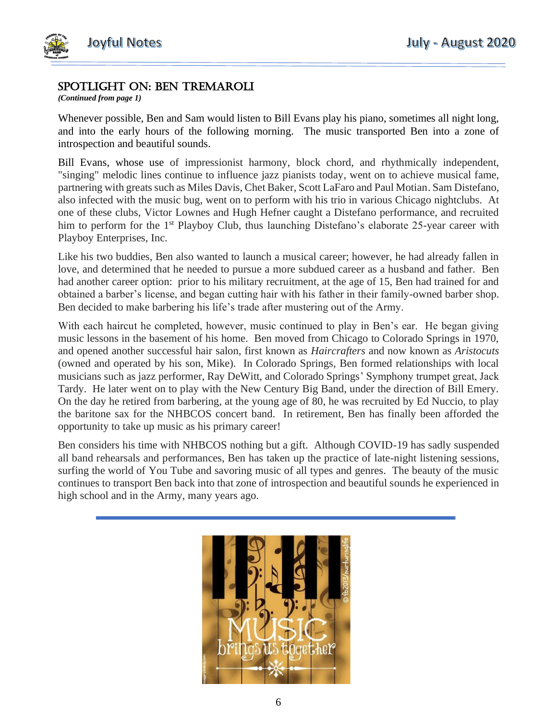

## SPOTLIGHT on: ben tremaroli

*(Continued from page 1)*

Whenever possible, Ben and Sam would listen to Bill Evans play his piano, sometimes all night long, and into the early hours of the following morning. The music transported Ben into a zone of introspection and beautiful sounds.

Bill Evans, whose use of impressionist harmony, block chord, and rhythmically independent, "singing" melodic lines continue to influence jazz pianists today, went on to achieve musical fame, partnering with greats such as Miles Davis, Chet Baker, Scott LaFaro and Paul Motian. Sam Distefano, also infected with the music bug, went on to perform with his trio in various Chicago nightclubs. At one of these clubs, Victor Lownes and Hugh Hefner caught a Distefano performance, and recruited him to perform for the 1<sup>st</sup> Playboy Club, thus launching Distefano's elaborate 25-year career with Playboy Enterprises, Inc.

Like his two buddies, Ben also wanted to launch a musical career; however, he had already fallen in love, and determined that he needed to pursue a more subdued career as a husband and father. Ben had another career option: prior to his military recruitment, at the age of 15, Ben had trained for and obtained a barber's license, and began cutting hair with his father in their family-owned barber shop. Ben decided to make barbering his life's trade after mustering out of the Army.

With each haircut he completed, however, music continued to play in Ben's ear. He began giving music lessons in the basement of his home. Ben moved from Chicago to Colorado Springs in 1970, and opened another successful hair salon, first known as *Haircrafters* and now known as *Aristocuts* (owned and operated by his son, Mike). In Colorado Springs, Ben formed relationships with local musicians such as jazz performer, Ray DeWitt, and Colorado Springs' Symphony trumpet great, Jack Tardy. He later went on to play with the New Century Big Band, under the direction of Bill Emery. On the day he retired from barbering, at the young age of 80, he was recruited by Ed Nuccio, to play the baritone sax for the NHBCOS concert band. In retirement, Ben has finally been afforded the opportunity to take up music as his primary career!

Ben considers his time with NHBCOS nothing but a gift. Although COVID-19 has sadly suspended all band rehearsals and performances, Ben has taken up the practice of late-night listening sessions, surfing the world of You Tube and savoring music of all types and genres. The beauty of the music continues to transport Ben back into that zone of introspection and beautiful sounds he experienced in high school and in the Army, many years ago.

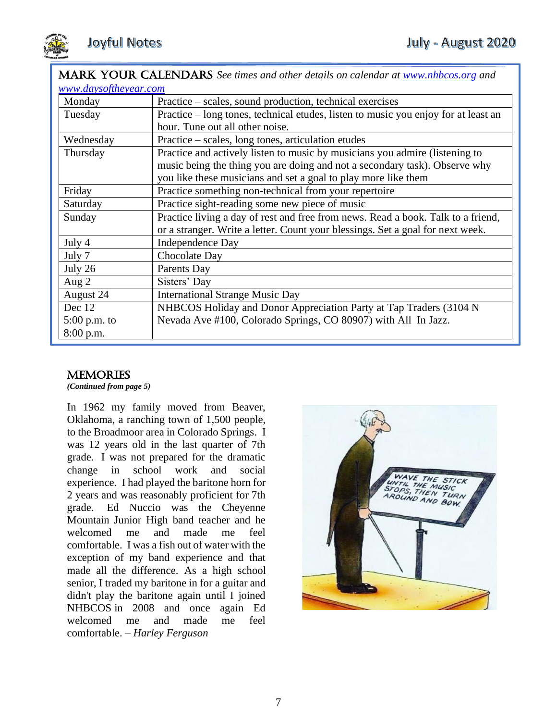

## MARK YOUR CALENDARS *See times and other details on calendar at [www.nhbcos.org](http://www.nhbcos.org/) and [www.daysoftheyear.com](http://www.daysoftheyear.com/)*

| www.aaysoftneyear.com |                                                                                    |
|-----------------------|------------------------------------------------------------------------------------|
| Monday                | Practice – scales, sound production, technical exercises                           |
| Tuesday               | Practice – long tones, technical etudes, listen to music you enjoy for at least an |
|                       | hour. Tune out all other noise.                                                    |
| Wednesday             | Practice – scales, long tones, articulation etudes                                 |
| Thursday              | Practice and actively listen to music by musicians you admire (listening to        |
|                       | music being the thing you are doing and not a secondary task). Observe why         |
|                       | you like these musicians and set a goal to play more like them                     |
| Friday                | Practice something non-technical from your repertoire                              |
| Saturday              | Practice sight-reading some new piece of music                                     |
| Sunday                | Practice living a day of rest and free from news. Read a book. Talk to a friend,   |
|                       | or a stranger. Write a letter. Count your blessings. Set a goal for next week.     |
| July 4                | <b>Independence Day</b>                                                            |
| July 7                | Chocolate Day                                                                      |
| July 26               | Parents Day                                                                        |
| Aug $2$               | Sisters' Day                                                                       |
| August 24             | <b>International Strange Music Day</b>                                             |
| Dec 12                | NHBCOS Holiday and Donor Appreciation Party at Tap Traders (3104 N                 |
| $5:00$ p.m. to        | Nevada Ave #100, Colorado Springs, CO 80907) with All In Jazz.                     |
| $8:00$ p.m.           |                                                                                    |

# **MEMORIES**

*(Continued from page 5)*

In 1962 my family moved from Beaver, Oklahoma, a ranching town of 1,500 people, to the Broadmoor area in Colorado Springs. I was 12 years old in the last quarter of 7th grade. I was not prepared for the dramatic change in school work and social experience. I had played the baritone horn for 2 years and was reasonably proficient for 7th grade. Ed Nuccio was the Cheyenne Mountain Junior High band teacher and he welcomed me and made me feel comfortable. I was a fish out of water with the exception of my band experience and that made all the difference. As a high school senior, I traded my baritone in for a guitar and didn't play the baritone again until I joined NHBCOS in 2008 and once again Ed welcomed me and made me feel comfortable. – *Harley Ferguson*